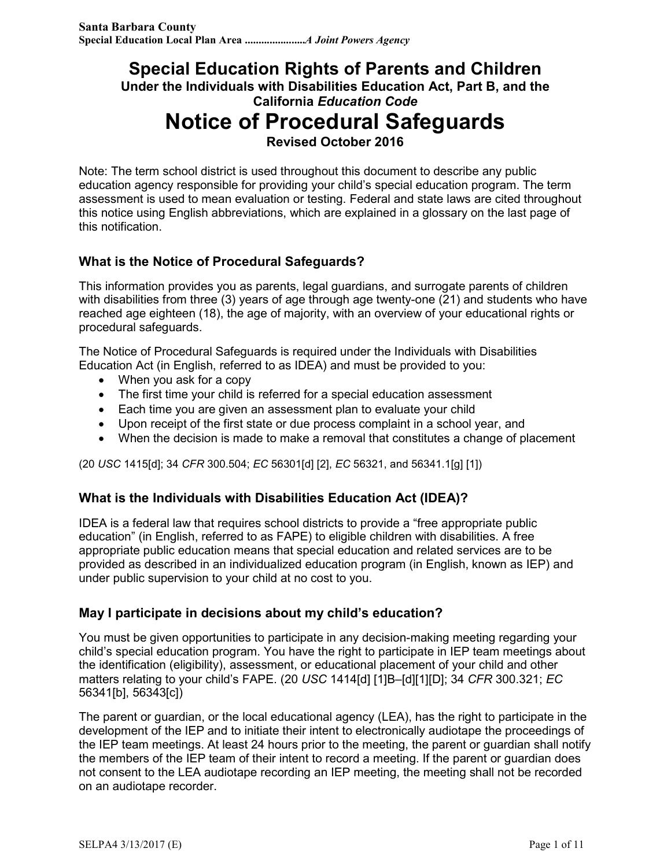## **Special Education Rights of Parents and Children Under the Individuals with Disabilities Education Act, Part B, and the California** *Education Code* **Notice of Procedural Safeguards Revised October 2016**

Note: The term school district is used throughout this document to describe any public education agency responsible for providing your child's special education program. The term assessment is used to mean evaluation or testing. Federal and state laws are cited throughout this notice using English abbreviations, which are explained in a glossary on the last page of this notification.

#### **What is the Notice of Procedural Safeguards?**

This information provides you as parents, legal guardians, and surrogate parents of children with disabilities from three (3) years of age through age twenty-one (21) and students who have reached age eighteen (18), the age of majority, with an overview of your educational rights or procedural safeguards.

The Notice of Procedural Safeguards is required under the Individuals with Disabilities Education Act (in English, referred to as IDEA) and must be provided to you:

- When you ask for a copy
- The first time your child is referred for a special education assessment
- Each time you are given an assessment plan to evaluate your child
- Upon receipt of the first state or due process complaint in a school year, and
- When the decision is made to make a removal that constitutes a change of placement

(20 *USC* 1415[d]; 34 *CFR* 300.504; *EC* 56301[d] [2], *EC* 56321, and 56341.1[g] [1])

#### **What is the Individuals with Disabilities Education Act (IDEA)?**

IDEA is a federal law that requires school districts to provide a "free appropriate public education" (in English, referred to as FAPE) to eligible children with disabilities. A free appropriate public education means that special education and related services are to be provided as described in an individualized education program (in English, known as IEP) and under public supervision to your child at no cost to you.

#### **May I participate in decisions about my child's education?**

You must be given opportunities to participate in any decision-making meeting regarding your child's special education program. You have the right to participate in IEP team meetings about the identification (eligibility), assessment, or educational placement of your child and other matters relating to your child's FAPE. (20 *USC* 1414[d] [1]B–[d][1][D]; 34 *CFR* 300.321; *EC* 56341[b], 56343[c])

The parent or guardian, or the local educational agency (LEA), has the right to participate in the development of the IEP and to initiate their intent to electronically audiotape the proceedings of the IEP team meetings. At least 24 hours prior to the meeting, the parent or guardian shall notify the members of the IEP team of their intent to record a meeting. If the parent or guardian does not consent to the LEA audiotape recording an IEP meeting, the meeting shall not be recorded on an audiotape recorder.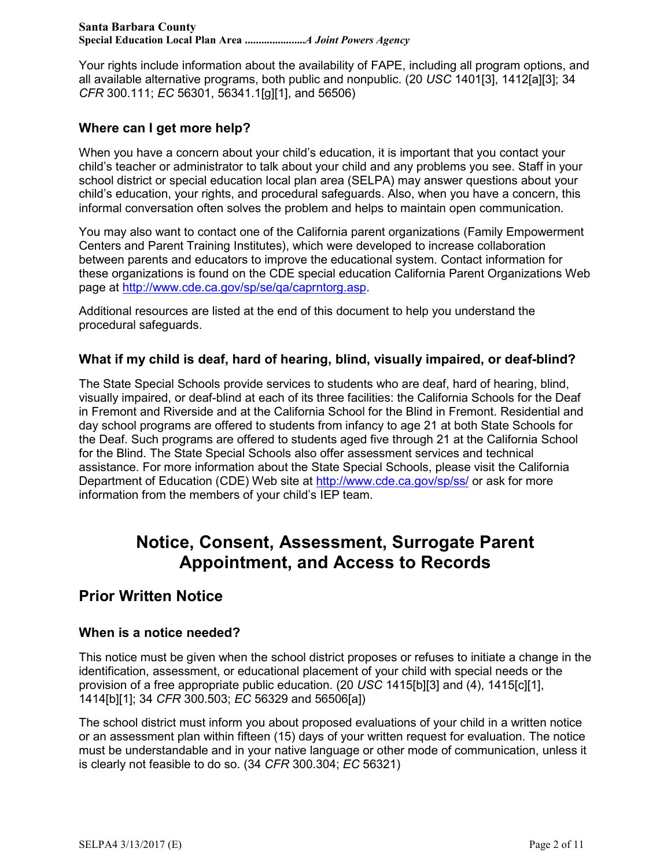Your rights include information about the availability of FAPE, including all program options, and all available alternative programs, both public and nonpublic. (20 *USC* 1401[3], 1412[a][3]; 34 *CFR* 300.111; *EC* 56301, 56341.1[g][1], and 56506)

#### **Where can I get more help?**

When you have a concern about your child's education, it is important that you contact your child's teacher or administrator to talk about your child and any problems you see. Staff in your school district or special education local plan area (SELPA) may answer questions about your child's education, your rights, and procedural safeguards. Also, when you have a concern, this informal conversation often solves the problem and helps to maintain open communication.

You may also want to contact one of the California parent organizations (Family Empowerment Centers and Parent Training Institutes), which were developed to increase collaboration between parents and educators to improve the educational system. Contact information for these organizations is found on the CDE special education California Parent Organizations Web page at http://www.cde.ca.gov/sp/se/qa/caprntorg.asp.

Additional resources are listed at the end of this document to help you understand the procedural safeguards.

#### **What if my child is deaf, hard of hearing, blind, visually impaired, or deaf-blind?**

The State Special Schools provide services to students who are deaf, hard of hearing, blind, visually impaired, or deaf-blind at each of its three facilities: the California Schools for the Deaf in Fremont and Riverside and at the California School for the Blind in Fremont. Residential and day school programs are offered to students from infancy to age 21 at both State Schools for the Deaf. Such programs are offered to students aged five through 21 at the California School for the Blind. The State Special Schools also offer assessment services and technical assistance. For more information about the State Special Schools, please visit the California Department of Education (CDE) Web site at http://www.cde.ca.gov/sp/ss/ or ask for more information from the members of your child's IEP team.

# **Notice, Consent, Assessment, Surrogate Parent Appointment, and Access to Records**

### **Prior Written Notice**

#### **When is a notice needed?**

This notice must be given when the school district proposes or refuses to initiate a change in the identification, assessment, or educational placement of your child with special needs or the provision of a free appropriate public education. (20 *USC* 1415[b][3] and (4), 1415[c][1], 1414[b][1]; 34 *CFR* 300.503; *EC* 56329 and 56506[a])

The school district must inform you about proposed evaluations of your child in a written notice or an assessment plan within fifteen (15) days of your written request for evaluation. The notice must be understandable and in your native language or other mode of communication, unless it is clearly not feasible to do so. (34 *CFR* 300.304; *EC* 56321)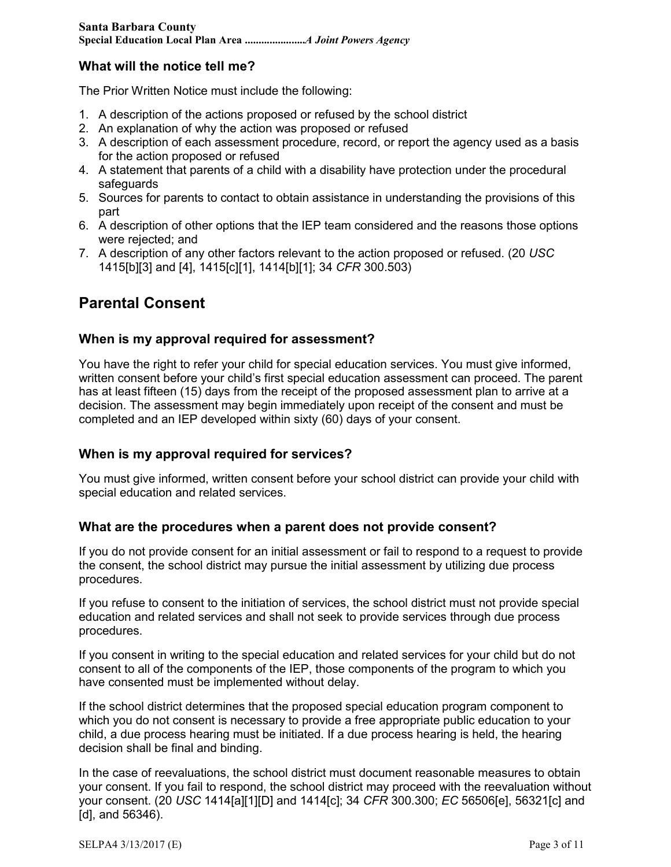#### **What will the notice tell me?**

The Prior Written Notice must include the following:

- 1. A description of the actions proposed or refused by the school district
- 2. An explanation of why the action was proposed or refused
- 3. A description of each assessment procedure, record, or report the agency used as a basis for the action proposed or refused
- 4. A statement that parents of a child with a disability have protection under the procedural safeguards
- 5. Sources for parents to contact to obtain assistance in understanding the provisions of this part
- 6. A description of other options that the IEP team considered and the reasons those options were rejected; and
- 7. A description of any other factors relevant to the action proposed or refused. (20 *USC* 1415[b][3] and [4], 1415[c][1], 1414[b][1]; 34 *CFR* 300.503)

## **Parental Consent**

#### **When is my approval required for assessment?**

You have the right to refer your child for special education services. You must give informed, written consent before your child's first special education assessment can proceed. The parent has at least fifteen (15) days from the receipt of the proposed assessment plan to arrive at a decision. The assessment may begin immediately upon receipt of the consent and must be completed and an IEP developed within sixty (60) days of your consent.

#### **When is my approval required for services?**

You must give informed, written consent before your school district can provide your child with special education and related services.

#### **What are the procedures when a parent does not provide consent?**

If you do not provide consent for an initial assessment or fail to respond to a request to provide the consent, the school district may pursue the initial assessment by utilizing due process procedures.

If you refuse to consent to the initiation of services, the school district must not provide special education and related services and shall not seek to provide services through due process procedures.

If you consent in writing to the special education and related services for your child but do not consent to all of the components of the IEP, those components of the program to which you have consented must be implemented without delay.

If the school district determines that the proposed special education program component to which you do not consent is necessary to provide a free appropriate public education to your child, a due process hearing must be initiated. If a due process hearing is held, the hearing decision shall be final and binding.

In the case of reevaluations, the school district must document reasonable measures to obtain your consent. If you fail to respond, the school district may proceed with the reevaluation without your consent. (20 *USC* 1414[a][1][D] and 1414[c]; 34 *CFR* 300.300; *EC* 56506[e], 56321[c] and [d], and 56346).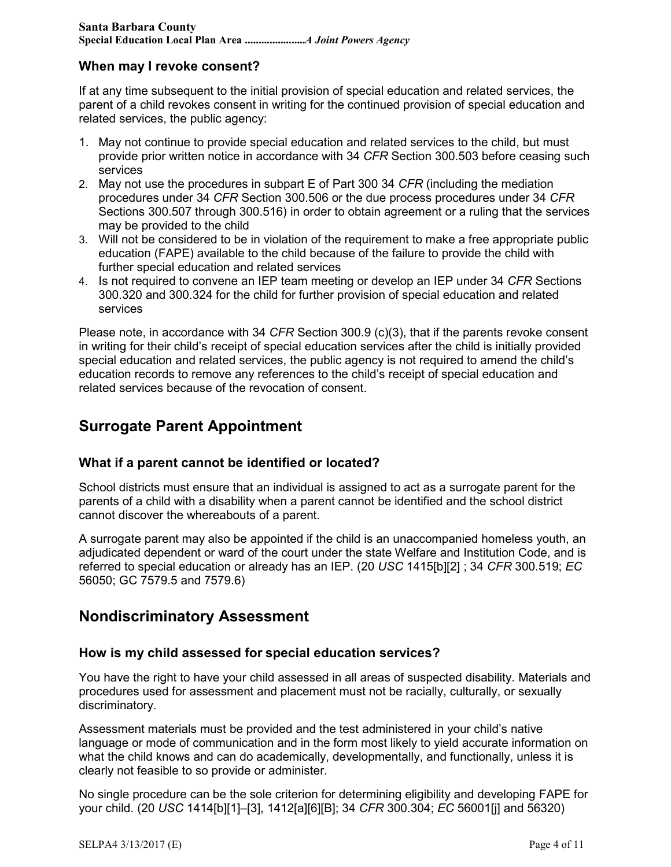#### **When may I revoke consent?**

If at any time subsequent to the initial provision of special education and related services, the parent of a child revokes consent in writing for the continued provision of special education and related services, the public agency:

- 1. May not continue to provide special education and related services to the child, but must provide prior written notice in accordance with 34 *CFR* Section 300.503 before ceasing such services
- 2. May not use the procedures in subpart E of Part 300 34 *CFR* (including the mediation procedures under 34 *CFR* Section 300.506 or the due process procedures under 34 *CFR* Sections 300.507 through 300.516) in order to obtain agreement or a ruling that the services may be provided to the child
- 3. Will not be considered to be in violation of the requirement to make a free appropriate public education (FAPE) available to the child because of the failure to provide the child with further special education and related services
- 4. Is not required to convene an IEP team meeting or develop an IEP under 34 *CFR* Sections 300.320 and 300.324 for the child for further provision of special education and related services

Please note, in accordance with 34 *CFR* Section 300.9 (c)(3), that if the parents revoke consent in writing for their child's receipt of special education services after the child is initially provided special education and related services, the public agency is not required to amend the child's education records to remove any references to the child's receipt of special education and related services because of the revocation of consent.

## **Surrogate Parent Appointment**

#### **What if a parent cannot be identified or located?**

School districts must ensure that an individual is assigned to act as a surrogate parent for the parents of a child with a disability when a parent cannot be identified and the school district cannot discover the whereabouts of a parent.

A surrogate parent may also be appointed if the child is an unaccompanied homeless youth, an adjudicated dependent or ward of the court under the state Welfare and Institution Code, and is referred to special education or already has an IEP. (20 *USC* 1415[b][2] ; 34 *CFR* 300.519; *EC* 56050; GC 7579.5 and 7579.6)

### **Nondiscriminatory Assessment**

#### **How is my child assessed for special education services?**

You have the right to have your child assessed in all areas of suspected disability. Materials and procedures used for assessment and placement must not be racially, culturally, or sexually discriminatory.

Assessment materials must be provided and the test administered in your child's native language or mode of communication and in the form most likely to yield accurate information on what the child knows and can do academically, developmentally, and functionally, unless it is clearly not feasible to so provide or administer.

No single procedure can be the sole criterion for determining eligibility and developing FAPE for your child. (20 *USC* 1414[b][1]–[3], 1412[a][6][B]; 34 *CFR* 300.304; *EC* 56001[j] and 56320)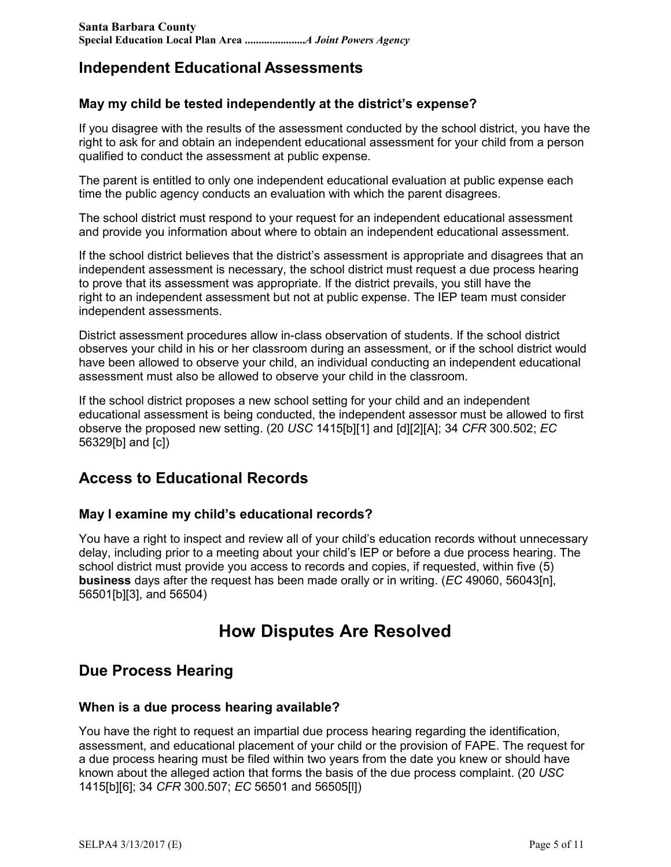## **Independent Educational Assessments**

#### **May my child be tested independently at the district's expense?**

If you disagree with the results of the assessment conducted by the school district, you have the right to ask for and obtain an independent educational assessment for your child from a person qualified to conduct the assessment at public expense.

The parent is entitled to only one independent educational evaluation at public expense each time the public agency conducts an evaluation with which the parent disagrees.

The school district must respond to your request for an independent educational assessment and provide you information about where to obtain an independent educational assessment.

If the school district believes that the district's assessment is appropriate and disagrees that an independent assessment is necessary, the school district must request a due process hearing to prove that its assessment was appropriate. If the district prevails, you still have the right to an independent assessment but not at public expense. The IEP team must consider independent assessments.

District assessment procedures allow in-class observation of students. If the school district observes your child in his or her classroom during an assessment, or if the school district would have been allowed to observe your child, an individual conducting an independent educational assessment must also be allowed to observe your child in the classroom.

If the school district proposes a new school setting for your child and an independent educational assessment is being conducted, the independent assessor must be allowed to first observe the proposed new setting. (20 *USC* 1415[b][1] and [d][2][A]; 34 *CFR* 300.502; *EC* 56329[b] and [c])

## **Access to Educational Records**

#### **May I examine my child's educational records?**

You have a right to inspect and review all of your child's education records without unnecessary delay, including prior to a meeting about your child's IEP or before a due process hearing. The school district must provide you access to records and copies, if requested, within five (5) **business** days after the request has been made orally or in writing. (*EC* 49060, 56043[n], 56501[b][3], and 56504)

# **How Disputes Are Resolved**

### **Due Process Hearing**

#### **When is a due process hearing available?**

You have the right to request an impartial due process hearing regarding the identification, assessment, and educational placement of your child or the provision of FAPE. The request for a due process hearing must be filed within two years from the date you knew or should have known about the alleged action that forms the basis of the due process complaint. (20 *USC* 1415[b][6]; 34 *CFR* 300.507; *EC* 56501 and 56505[l])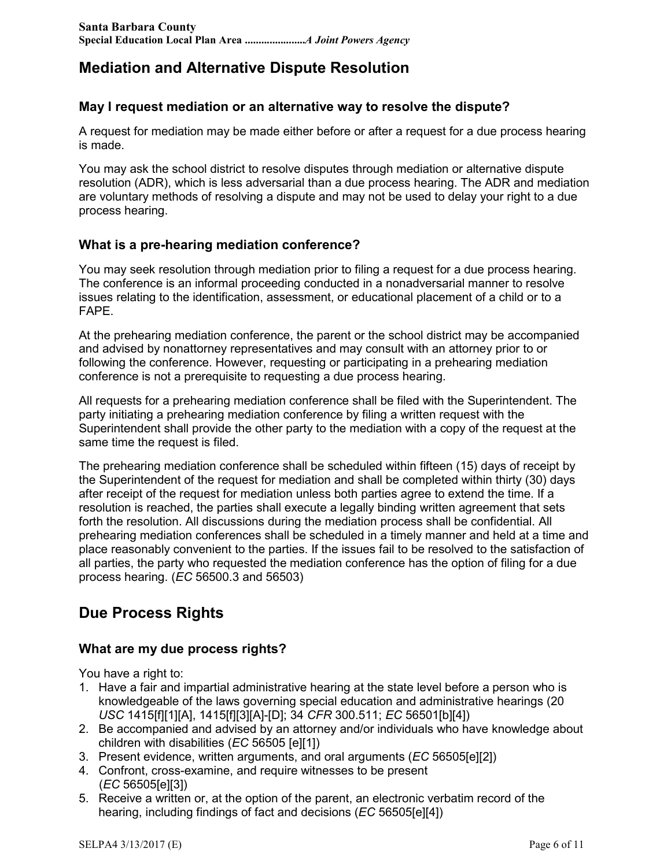## **Mediation and Alternative Dispute Resolution**

#### **May I request mediation or an alternative way to resolve the dispute?**

A request for mediation may be made either before or after a request for a due process hearing is made.

You may ask the school district to resolve disputes through mediation or alternative dispute resolution (ADR), which is less adversarial than a due process hearing. The ADR and mediation are voluntary methods of resolving a dispute and may not be used to delay your right to a due process hearing.

#### **What is a pre-hearing mediation conference?**

You may seek resolution through mediation prior to filing a request for a due process hearing. The conference is an informal proceeding conducted in a nonadversarial manner to resolve issues relating to the identification, assessment, or educational placement of a child or to a FAPE.

At the prehearing mediation conference, the parent or the school district may be accompanied and advised by nonattorney representatives and may consult with an attorney prior to or following the conference. However, requesting or participating in a prehearing mediation conference is not a prerequisite to requesting a due process hearing.

All requests for a prehearing mediation conference shall be filed with the Superintendent. The party initiating a prehearing mediation conference by filing a written request with the Superintendent shall provide the other party to the mediation with a copy of the request at the same time the request is filed.

The prehearing mediation conference shall be scheduled within fifteen (15) days of receipt by the Superintendent of the request for mediation and shall be completed within thirty (30) days after receipt of the request for mediation unless both parties agree to extend the time. If a resolution is reached, the parties shall execute a legally binding written agreement that sets forth the resolution. All discussions during the mediation process shall be confidential. All prehearing mediation conferences shall be scheduled in a timely manner and held at a time and place reasonably convenient to the parties. If the issues fail to be resolved to the satisfaction of all parties, the party who requested the mediation conference has the option of filing for a due process hearing. (*EC* 56500.3 and 56503)

## **Due Process Rights**

#### **What are my due process rights?**

You have a right to:

- 1. Have a fair and impartial administrative hearing at the state level before a person who is knowledgeable of the laws governing special education and administrative hearings (20 *USC* 1415[f][1][A], 1415[f][3][A]-[D]; 34 *CFR* 300.511; *EC* 56501[b][4])
- 2. Be accompanied and advised by an attorney and/or individuals who have knowledge about children with disabilities (*EC* 56505 [e][1])
- 3. Present evidence, written arguments, and oral arguments (*EC* 56505[e][2])
- 4. Confront, cross-examine, and require witnesses to be present (*EC* 56505[e][3])
- 5. Receive a written or, at the option of the parent, an electronic verbatim record of the hearing, including findings of fact and decisions (*EC* 56505[e][4])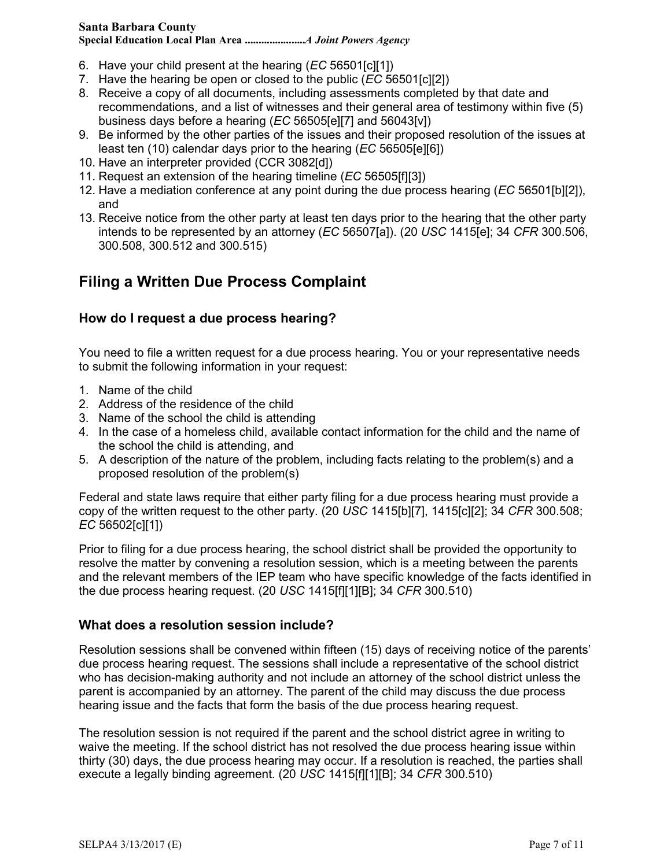**Special Education Local Plan Area ......................***A Joint Powers Agency*

- 6. Have your child present at the hearing (*EC* 56501[c][1])
- 7. Have the hearing be open or closed to the public (*EC* 56501[c][2])
- 8. Receive a copy of all documents, including assessments completed by that date and recommendations, and a list of witnesses and their general area of testimony within five (5) business days before a hearing (*EC* 56505[e][7] and 56043[v])
- 9. Be informed by the other parties of the issues and their proposed resolution of the issues at least ten (10) calendar days prior to the hearing (*EC* 56505[e][6])
- 10. Have an interpreter provided (CCR 3082[d])
- 11. Request an extension of the hearing timeline (*EC* 56505[f][3])
- 12. Have a mediation conference at any point during the due process hearing (*EC* 56501[b][2]), and
- 13. Receive notice from the other party at least ten days prior to the hearing that the other party intends to be represented by an attorney (*EC* 56507[a]). (20 *USC* 1415[e]; 34 *CFR* 300.506, 300.508, 300.512 and 300.515)

## **Filing a Written Due Process Complaint**

#### **How do I request a due process hearing?**

You need to file a written request for a due process hearing. You or your representative needs to submit the following information in your request:

- 1. Name of the child
- 2. Address of the residence of the child
- 3. Name of the school the child is attending
- 4. In the case of a homeless child, available contact information for the child and the name of the school the child is attending, and
- 5. A description of the nature of the problem, including facts relating to the problem(s) and a proposed resolution of the problem(s)

Federal and state laws require that either party filing for a due process hearing must provide a copy of the written request to the other party. (20 *USC* 1415[b][7], 1415[c][2]; 34 *CFR* 300.508; *EC* 56502[c][1])

Prior to filing for a due process hearing, the school district shall be provided the opportunity to resolve the matter by convening a resolution session, which is a meeting between the parents and the relevant members of the IEP team who have specific knowledge of the facts identified in the due process hearing request. (20 *USC* 1415[f][1][B]; 34 *CFR* 300.510)

#### **What does a resolution session include?**

Resolution sessions shall be convened within fifteen (15) days of receiving notice of the parents' due process hearing request. The sessions shall include a representative of the school district who has decision-making authority and not include an attorney of the school district unless the parent is accompanied by an attorney. The parent of the child may discuss the due process hearing issue and the facts that form the basis of the due process hearing request.

The resolution session is not required if the parent and the school district agree in writing to waive the meeting. If the school district has not resolved the due process hearing issue within thirty (30) days, the due process hearing may occur. If a resolution is reached, the parties shall execute a legally binding agreement. (20 *USC* 1415[f][1][B]; 34 *CFR* 300.510)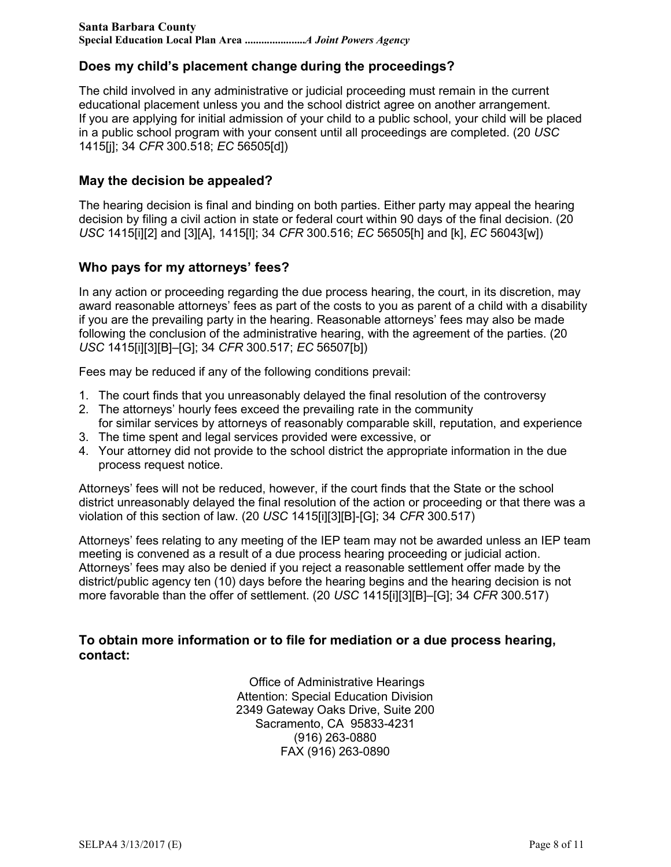#### **Does my child's placement change during the proceedings?**

The child involved in any administrative or judicial proceeding must remain in the current educational placement unless you and the school district agree on another arrangement. If you are applying for initial admission of your child to a public school, your child will be placed in a public school program with your consent until all proceedings are completed. (20 *USC* 1415[j]; 34 *CFR* 300.518; *EC* 56505[d])

#### **May the decision be appealed?**

The hearing decision is final and binding on both parties. Either party may appeal the hearing decision by filing a civil action in state or federal court within 90 days of the final decision. (20 *USC* 1415[i][2] and [3][A], 1415[l]; 34 *CFR* 300.516; *EC* 56505[h] and [k], *EC* 56043[w])

#### **Who pays for my attorneys' fees?**

In any action or proceeding regarding the due process hearing, the court, in its discretion, may award reasonable attorneys' fees as part of the costs to you as parent of a child with a disability if you are the prevailing party in the hearing. Reasonable attorneys' fees may also be made following the conclusion of the administrative hearing, with the agreement of the parties. (20 *USC* 1415[i][3][B]–[G]; 34 *CFR* 300.517; *EC* 56507[b])

Fees may be reduced if any of the following conditions prevail:

- 1. The court finds that you unreasonably delayed the final resolution of the controversy
- 2. The attorneys' hourly fees exceed the prevailing rate in the community for similar services by attorneys of reasonably comparable skill, reputation, and experience
- 3. The time spent and legal services provided were excessive, or
- 4. Your attorney did not provide to the school district the appropriate information in the due process request notice.

Attorneys' fees will not be reduced, however, if the court finds that the State or the school district unreasonably delayed the final resolution of the action or proceeding or that there was a violation of this section of law. (20 *USC* 1415[i][3][B]-[G]; 34 *CFR* 300.517)

Attorneys' fees relating to any meeting of the IEP team may not be awarded unless an IEP team meeting is convened as a result of a due process hearing proceeding or judicial action. Attorneys' fees may also be denied if you reject a reasonable settlement offer made by the district/public agency ten (10) days before the hearing begins and the hearing decision is not more favorable than the offer of settlement. (20 *USC* 1415[i][3][B]–[G]; 34 *CFR* 300.517)

#### **To obtain more information or to file for mediation or a due process hearing, contact:**

Office of Administrative Hearings Attention: Special Education Division 2349 Gateway Oaks Drive, Suite 200 Sacramento, CA 95833-4231 (916) 263-0880 FAX (916) 263-0890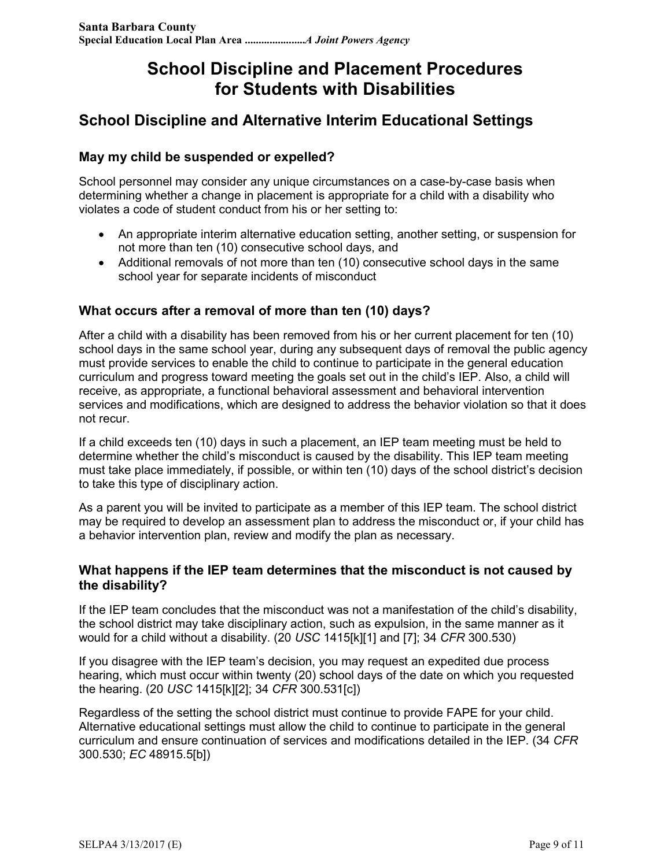# **School Discipline and Placement Procedures for Students with Disabilities**

## **School Discipline and Alternative Interim Educational Settings**

#### **May my child be suspended or expelled?**

School personnel may consider any unique circumstances on a case-by-case basis when determining whether a change in placement is appropriate for a child with a disability who violates a code of student conduct from his or her setting to:

- An appropriate interim alternative education setting, another setting, or suspension for not more than ten (10) consecutive school days, and
- Additional removals of not more than ten (10) consecutive school days in the same school year for separate incidents of misconduct

#### **What occurs after a removal of more than ten (10) days?**

After a child with a disability has been removed from his or her current placement for ten (10) school days in the same school year, during any subsequent days of removal the public agency must provide services to enable the child to continue to participate in the general education curriculum and progress toward meeting the goals set out in the child's IEP. Also, a child will receive, as appropriate, a functional behavioral assessment and behavioral intervention services and modifications, which are designed to address the behavior violation so that it does not recur.

If a child exceeds ten (10) days in such a placement, an IEP team meeting must be held to determine whether the child's misconduct is caused by the disability. This IEP team meeting must take place immediately, if possible, or within ten (10) days of the school district's decision to take this type of disciplinary action.

As a parent you will be invited to participate as a member of this IEP team. The school district may be required to develop an assessment plan to address the misconduct or, if your child has a behavior intervention plan, review and modify the plan as necessary.

#### **What happens if the IEP team determines that the misconduct is not caused by the disability?**

If the IEP team concludes that the misconduct was not a manifestation of the child's disability, the school district may take disciplinary action, such as expulsion, in the same manner as it would for a child without a disability. (20 *USC* 1415[k][1] and [7]; 34 *CFR* 300.530)

If you disagree with the IEP team's decision, you may request an expedited due process hearing, which must occur within twenty (20) school days of the date on which you requested the hearing. (20 *USC* 1415[k][2]; 34 *CFR* 300.531[c])

Regardless of the setting the school district must continue to provide FAPE for your child. Alternative educational settings must allow the child to continue to participate in the general curriculum and ensure continuation of services and modifications detailed in the IEP. (34 *CFR* 300.530; *EC* 48915.5[b])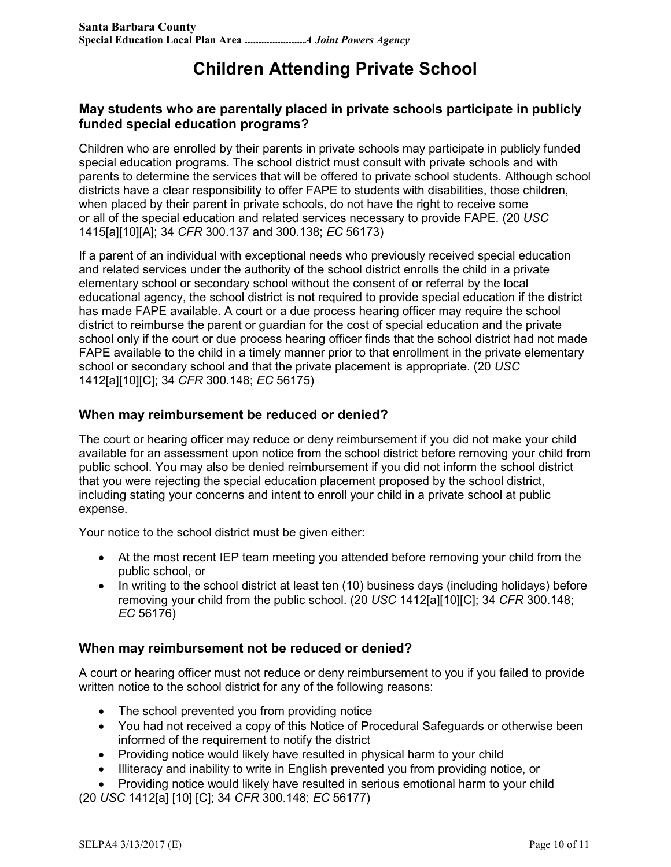# **Children Attending Private School**

#### **May students who are parentally placed in private schools participate in publicly funded special education programs?**

Children who are enrolled by their parents in private schools may participate in publicly funded special education programs. The school district must consult with private schools and with parents to determine the services that will be offered to private school students. Although school districts have a clear responsibility to offer FAPE to students with disabilities, those children, when placed by their parent in private schools, do not have the right to receive some or all of the special education and related services necessary to provide FAPE. (20 *USC* 1415[a][10][A]; 34 *CFR* 300.137 and 300.138; *EC* 56173)

If a parent of an individual with exceptional needs who previously received special education and related services under the authority of the school district enrolls the child in a private elementary school or secondary school without the consent of or referral by the local educational agency, the school district is not required to provide special education if the district has made FAPE available. A court or a due process hearing officer may require the school district to reimburse the parent or guardian for the cost of special education and the private school only if the court or due process hearing officer finds that the school district had not made FAPE available to the child in a timely manner prior to that enrollment in the private elementary school or secondary school and that the private placement is appropriate. (20 *USC* 1412[a][10][C]; 34 *CFR* 300.148; *EC* 56175)

#### **When may reimbursement be reduced or denied?**

The court or hearing officer may reduce or deny reimbursement if you did not make your child available for an assessment upon notice from the school district before removing your child from public school. You may also be denied reimbursement if you did not inform the school district that you were rejecting the special education placement proposed by the school district, including stating your concerns and intent to enroll your child in a private school at public expense.

Your notice to the school district must be given either:

- At the most recent IEP team meeting you attended before removing your child from the public school, or
- In writing to the school district at least ten (10) business days (including holidays) before removing your child from the public school. (20 *USC* 1412[a][10][C]; 34 *CFR* 300.148; *EC* 56176)

#### **When may reimbursement not be reduced or denied?**

A court or hearing officer must not reduce or deny reimbursement to you if you failed to provide written notice to the school district for any of the following reasons:

- The school prevented you from providing notice
- You had not received a copy of this Notice of Procedural Safeguards or otherwise been informed of the requirement to notify the district
- Providing notice would likely have resulted in physical harm to your child
- Illiteracy and inability to write in English prevented you from providing notice, or

• Providing notice would likely have resulted in serious emotional harm to your child (20 *USC* 1412[a] [10] [C]; 34 *CFR* 300.148; *EC* 56177)